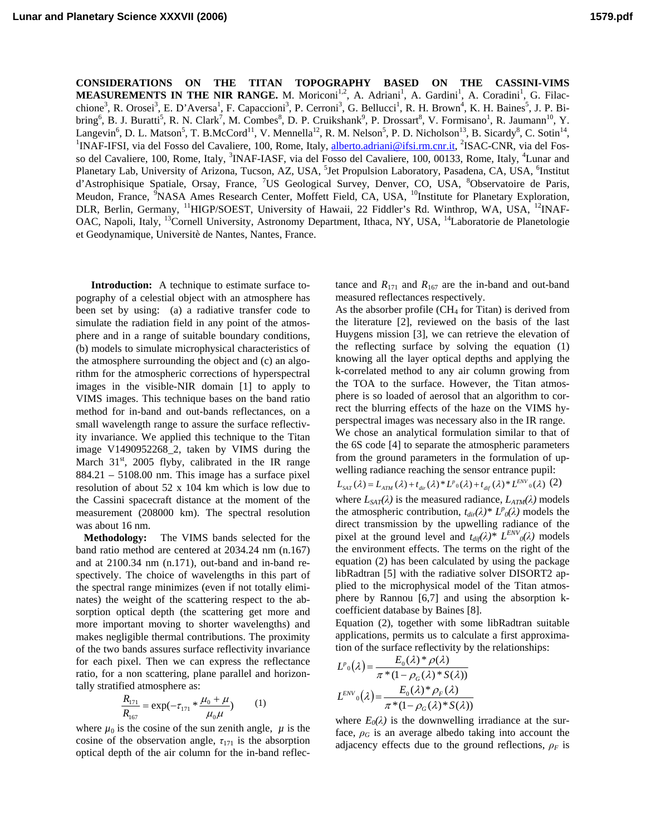**CONSIDERATIONS ON THE TITAN TOPOGRAPHY BASED ON THE CASSINI-VIMS MEASUREMENTS IN THE NIR RANGE.** M. Moriconi<sup>1,2</sup>, A. Adriani<sup>1</sup>, A. Gardini<sup>1</sup>, A. Coradini<sup>1</sup>, G. Filacchione<sup>3</sup>, R. Orosei<sup>3</sup>, E. D'Aversa<sup>1</sup>, F. Capaccioni<sup>3</sup>, P. Cerroni<sup>3</sup>, G. Bellucci<sup>1</sup>, R. H. Brown<sup>4</sup>, K. H. Baines<sup>5</sup>, J. P. Bibring<sup>6</sup>, B. J. Buratti<sup>5</sup>, R. N. Clark<sup>7</sup>, M. Combes<sup>8</sup>, D. P. Cruikshank<sup>9</sup>, P. Drossart<sup>8</sup>, V. Formisano<sup>1</sup>, R. Jaumann<sup>10</sup>, Y. Langevin<sup>6</sup>, D. L. Matson<sup>5</sup>, T. B.McCord<sup>11</sup>, V. Mennella<sup>12</sup>, R. M. Nelson<sup>5</sup>, P. D. Nicholson<sup>13</sup>, B. Sicardy<sup>8</sup>, C. Sotin<sup>14</sup>, <sup>1</sup>NAE USC is an integral of the stead of the stead of the stead of the stead of the stead INAF-IFSI, via del Fosso del Cavaliere, 100, Rome, Italy, alberto.adriani@ifsi.rm.cnr.it, <sup>2</sup>ISAC-CNR, via del Fosso del Cavaliere, 100, Rome, Italy, <sup>3</sup>INAF-IASF, via del Fosso del Cavaliere, 100, 00133, Rome, Italy, <sup>4</sup>Lunar and Planetary Lab, University of Arizona, Tucson, AZ, USA, <sup>5</sup>Jet Propulsion Laboratory, Pasadena, CA, USA, <sup>6</sup>Institut d'Astrophisique Spatiale, Orsay, France, <sup>7</sup>US Geological Survey, Denver, CO, USA, <sup>8</sup>Observatoire de Paris, Meudon, France, <sup>9</sup>NASA Ames Research Center, Moffett Field, CA, USA, <sup>10</sup>Institute for Planetary Exploration, DLR, Berlin, Germany, <sup>11</sup>HIGP/SOEST, University of Hawaii, 22 Fiddler's Rd. Winthrop, WA, USA, <sup>12</sup>INAF-OAC, Napoli, Italy, <sup>13</sup>Cornell University, Astronomy Department, Ithaca, NY, USA, <sup>14</sup>Laboratorie de Planetologie et Geodynamique, Universitè de Nantes, Nantes, France.

**Introduction:** A technique to estimate surface topography of a celestial object with an atmosphere has been set by using: (a) a radiative transfer code to simulate the radiation field in any point of the atmosphere and in a range of suitable boundary conditions, (b) models to simulate microphysical characteristics of the atmosphere surrounding the object and (c) an algorithm for the atmospheric corrections of hyperspectral images in the visible-NIR domain [1] to apply to VIMS images. This technique bases on the band ratio method for in-band and out-bands reflectances, on a small wavelength range to assure the surface reflectivity invariance. We applied this technique to the Titan image V1490952268\_2, taken by VIMS during the March  $31<sup>st</sup>$ , 2005 flyby, calibrated in the IR range  $884.21 - 5108.00$  nm. This image has a surface pixel resolution of about 52 x 104 km which is low due to the Cassini spacecraft distance at the moment of the measurement (208000 km). The spectral resolution was about 16 nm.

 **Methodology:** The VIMS bands selected for the band ratio method are centered at 2034.24 nm (n.167) and at 2100.34 nm (n.171), out-band and in-band respectively. The choice of wavelengths in this part of the spectral range minimizes (even if not totally eliminates) the weight of the scattering respect to the absorption optical depth (the scattering get more and more important moving to shorter wavelengths) and makes negligible thermal contributions. The proximity of the two bands assures surface reflectivity invariance for each pixel. Then we can express the reflectance ratio, for a non scattering, plane parallel and horizontally stratified atmosphere as:

$$
\frac{R_{171}}{R_{167}} = \exp(-\tau_{171} * \frac{\mu_0 + \mu}{\mu_0 \mu})
$$
 (1)

where  $\mu_0$  is the cosine of the sun zenith angle,  $\mu$  is the cosine of the observation angle,  $\tau_{171}$  is the absorption optical depth of the air column for the in-band reflectance and  $R_{171}$  and  $R_{167}$  are the in-band and out-band measured reflectances respectively.

As the absorber profile  $(CH<sub>4</sub>$  for Titan) is derived from the literature [2], reviewed on the basis of the last Huygens mission [3], we can retrieve the elevation of the reflecting surface by solving the equation (1) knowing all the layer optical depths and applying the k-correlated method to any air column growing from the TOA to the surface. However, the Titan atmosphere is so loaded of aerosol that an algorithm to correct the blurring effects of the haze on the VIMS hyperspectral images was necessary also in the IR range. We chose an analytical formulation similar to that of the 6S code [4] to separate the atmospheric parameters from the ground parameters in the formulation of upwelling radiance reaching the sensor entrance pupil:

 $L_{SAT}(\lambda) = L_{ATM}(\lambda) + t_{dir}(\lambda) * L^p{}_0(\lambda) + t_{dif}(\lambda) * L^{ENV}{}_0(\lambda)$  (2)

where  $L_{SAT}(\lambda)$  is the measured radiance,  $L_{ATM}(\lambda)$  models the atmospheric contribution,  $t_{dir}(\lambda) * L^p_0(\lambda)$  models the direct transmission by the upwelling radiance of the pixel at the ground level and  $t_{dif}(\lambda)$ <sup>\*</sup>  $L^{ENV}(lambda)$  models the environment effects. The terms on the right of the equation (2) has been calculated by using the package libRadtran [5] with the radiative solver DISORT2 applied to the microphysical model of the Titan atmosphere by Rannou [6,7] and using the absorption kcoefficient database by Baines [8].

Equation (2), together with some libRadtran suitable applications, permits us to calculate a first approximation of the surface reflectivity by the relationships:

$$
L^p_0(\lambda) = \frac{E_0(\lambda) * \rho(\lambda)}{\pi * (1 - \rho_G(\lambda) * S(\lambda))}
$$

$$
L^{ENV} \circ (\lambda) = \frac{E_0(\lambda) * \rho_F(\lambda)}{\pi * (1 - \rho_G(\lambda) * S(\lambda))}
$$

where  $E_0(\lambda)$  is the downwelling irradiance at the surface,  $\rho_G$  is an average albedo taking into account the adjacency effects due to the ground reflections,  $\rho_F$  is